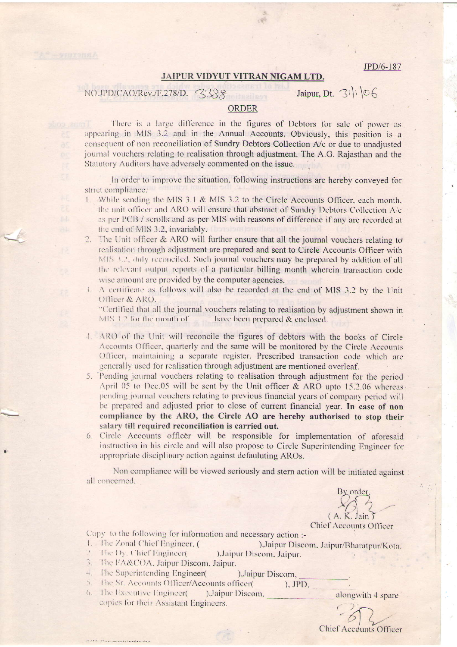JPD/6-187

## JAIPUR VIDYUT VITRAN NIGAM LTD.

## NO.JPD/CAO/Rev./F.278/D. 3388

Jaipur, Dt.  $31\sqrt{6}$ 

## ORDER

There is a large difference in the figures of Debtors for sale of power as appearing in MIS 3.2 and in the Annual Accounts. Obviously, this position is a consequent of non reconciliation of Sundry Debtors Collection A/c or due to unadjusted journal vouchers relating to realisation through adjustment. The A.G. Rajasthan and the Statutory Auditors have adversely commented on the issue.

In order to improve the situation, following instructions are hereby conveyed for strict compliance.

- 1. While sending the MIS 3.1 & MIS 3.2 to the Circle Accounts Officer, each month, the unit officer and ARO will ensure that abstract of Sundry Debtors Collection A/c as per PCB / scrolls and as per MIS with reasons of difference if any are recorded at the end of MIS 3.2, invariably.
- $2.$ The Unit officer & ARO will further ensure that all the journal vouchers relating to realisation through adjustment are prepared and sent to Circle Accounts Officer with MIS 3.2, duly reconciled. Such journal vouchers may be prepared by addition of all the relevant output reports of a particular billing month wherein transaction code wise amount are provided by the computer agencies.
- 3. A certificate as follows will also be recorded at the end of MIS 3.2 by the Unit Officer & ARO.

"Certified that all the journal vouchers relating to realisation by adjustment shown in MIS 3.2 for the month of have been prepared & enclosed.

- 4. ARO of the Unit will reconcile the figures of debtors with the books of Circle Accounts Officer, quarterly and the same will be monitored by the Circle Accounts Officer, maintaining a separate register. Prescribed transaction code which are generally used for realisation through adjustment are mentioned overleaf.
- 5. Pending journal vouchers relating to realisation through adjustment for the period April 05 to Dec.05 will be sent by the Unit officer & ARO upto 15.2.06 whereas pending journal vouchers relating to previous financial years of company period will be prepared and adjusted prior to close of current financial year. In case of non compliance by the ARO, the Circle AO are hereby authorised to stop their salary till required reconciliation is carried out.
- 6. Circle Accounts officer will be responsible for implementation of aforesaid instruction in his circle and will also propose to Circle Superintending Engineer for appropriate disciplinary action against defauluting AROs.

Non compliance will be viewed seriously and stern action will be initiated against all concerned.

3y order  $(A, K, Jain)$ Chief Accounts Officer

Copy to the following for information and necessary action :-

1. The Zonal Chief Engineer, ( ), Jaipur Discom, Jaipur/Bharatpur/Kota.

), Jaipur Discom,

- The Dy. Chief Engineer( ), Jaipur Discom, Jaipur.
- 3. The FA&COA, Jaipur Discom, Jaipur.
- The Superintending Engineer(  $\frac{1}{n+1}$
- 5. The Sr. Accounts Officer/Accounts officer(  $), JPD,$
- The Executive Engineer(  $($ ).Jaipur Discom, copies for their Assistant Engineers.

alongwith 4 spare